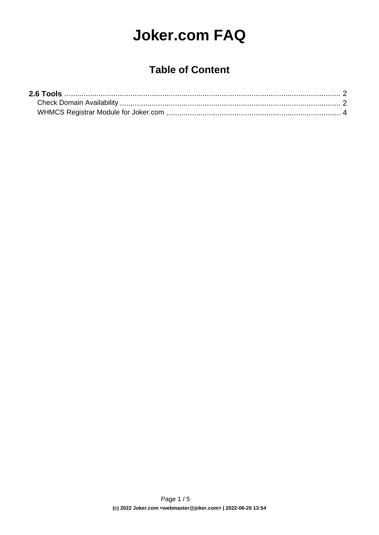# **Joker.com FAQ**

### **Table of Content**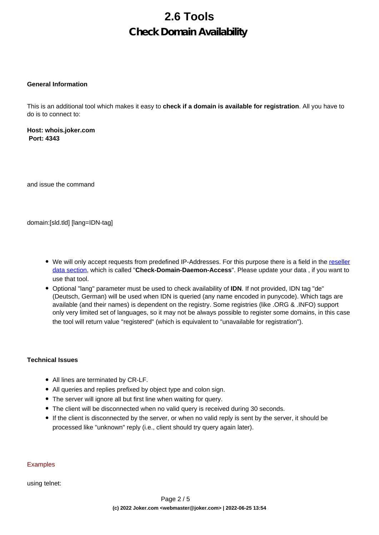## **2.6 Tools Check Domain Availability**

#### <span id="page-1-0"></span>**General Information**

This is an additional tool which makes it easy to **check if a domain is available for registration**. All you have to do is to connect to:

**Host: whois.joker.com Port: 4343**

and issue the command

domain:[sld.tld] [lang=IDN-tag]

- We will only accept requests from predefined IP-Addresses. For this purpose there is a field in the [reseller](/goto/resprefs) [data section](/goto/resprefs), which is called "**Check-Domain-Daemon-Access**". Please update your data , if you want to use that tool.
- Optional "lang" parameter must be used to check availability of **IDN**. If not provided, IDN tag "de" (Deutsch, German) will be used when IDN is queried (any name encoded in punycode). Which tags are available (and their names) is dependent on the registry. Some registries (like .ORG & .INFO) support only very limited set of languages, so it may not be always possible to register some domains, in this case the tool will return value "registered" (which is equivalent to "unavailable for registration").

#### **Technical Issues**

- All lines are terminated by CR-LF.
- All queries and replies prefixed by object type and colon sign.
- The server will ignore all but first line when waiting for query.
- The client will be disconnected when no valid query is received during 30 seconds.
- If the client is disconnected by the server, or when no valid reply is sent by the server, it should be processed like "unknown" reply (i.e., client should try query again later).

#### Examples

using telnet: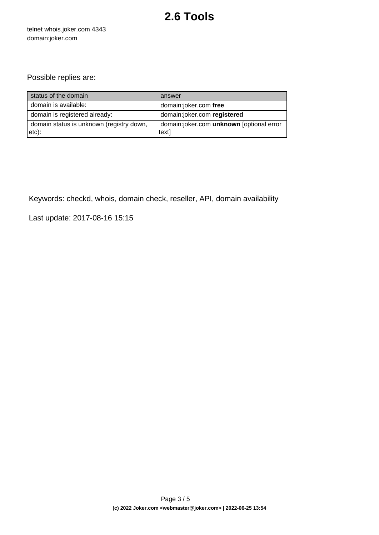### **2.6 Tools**

telnet whois.joker.com 4343 domain:joker.com

### Possible replies are:

| status of the domain                              | answer                                            |
|---------------------------------------------------|---------------------------------------------------|
| domain is available:                              | domain:joker.com free                             |
| domain is registered already:                     | domain:joker.com registered                       |
| domain status is unknown (registry down,<br>etc): | domain:joker.com unknown [optional error<br>text] |

Keywords: checkd, whois, domain check, reseller, API, domain availability

Last update: 2017-08-16 15:15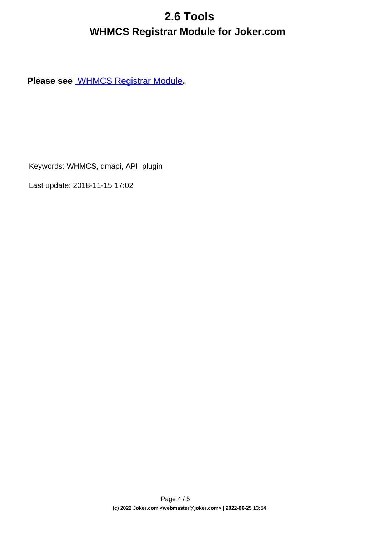## **2.6 Tools WHMCS Registrar Module for Joker.com**

<span id="page-3-0"></span>**Please see** [WHMCS Registrar Module](index.php?action=artikel&cat=84&id=488&artlang=en)**.**

Keywords: WHMCS, dmapi, API, plugin

Last update: 2018-11-15 17:02